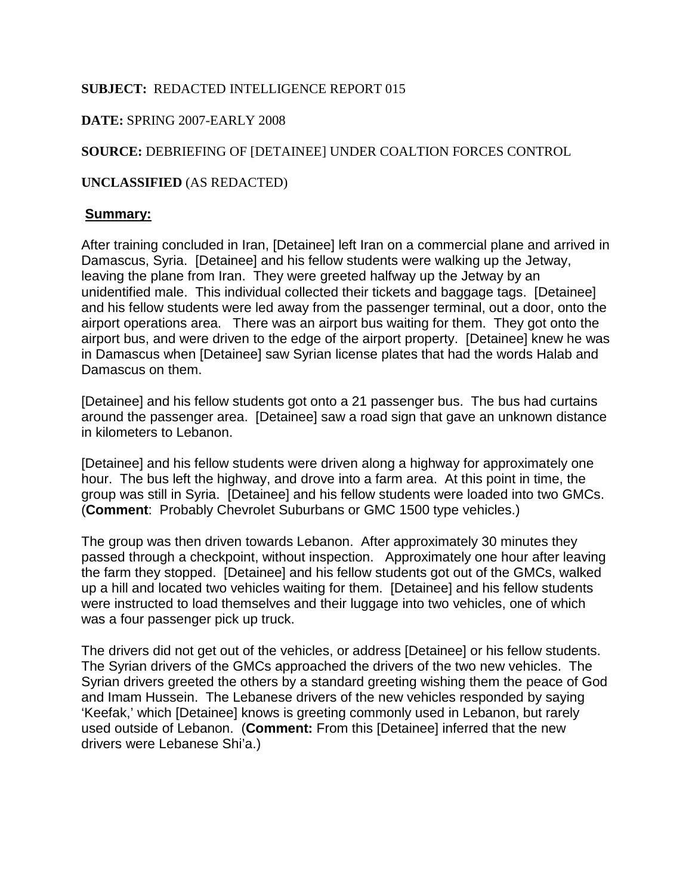# **SUBJECT:** REDACTED INTELLIGENCE REPORT 015

## **DATE:** SPRING 2007-EARLY 2008

# **SOURCE:** DEBRIEFING OF [DETAINEE] UNDER COALTION FORCES CONTROL

### **UNCLASSIFIED** (AS REDACTED)

### **Summary:**

After training concluded in Iran, [Detainee] left Iran on a commercial plane and arrived in Damascus, Syria. [Detainee] and his fellow students were walking up the Jetway, leaving the plane from Iran. They were greeted halfway up the Jetway by an unidentified male. This individual collected their tickets and baggage tags. [Detainee] and his fellow students were led away from the passenger terminal, out a door, onto the airport operations area. There was an airport bus waiting for them. They got onto the airport bus, and were driven to the edge of the airport property. [Detainee] knew he was in Damascus when [Detainee] saw Syrian license plates that had the words Halab and Damascus on them.

[Detainee] and his fellow students got onto a 21 passenger bus. The bus had curtains around the passenger area. [Detainee] saw a road sign that gave an unknown distance in kilometers to Lebanon.

[Detainee] and his fellow students were driven along a highway for approximately one hour. The bus left the highway, and drove into a farm area. At this point in time, the group was still in Syria. [Detainee] and his fellow students were loaded into two GMCs. (**Comment**: Probably Chevrolet Suburbans or GMC 1500 type vehicles.)

The group was then driven towards Lebanon. After approximately 30 minutes they passed through a checkpoint, without inspection. Approximately one hour after leaving the farm they stopped. [Detainee] and his fellow students got out of the GMCs, walked up a hill and located two vehicles waiting for them. [Detainee] and his fellow students were instructed to load themselves and their luggage into two vehicles, one of which was a four passenger pick up truck.

The drivers did not get out of the vehicles, or address [Detainee] or his fellow students. The Syrian drivers of the GMCs approached the drivers of the two new vehicles. The Syrian drivers greeted the others by a standard greeting wishing them the peace of God and Imam Hussein. The Lebanese drivers of the new vehicles responded by saying 'Keefak,' which [Detainee] knows is greeting commonly used in Lebanon, but rarely used outside of Lebanon. (**Comment:** From this [Detainee] inferred that the new drivers were Lebanese Shi'a.)